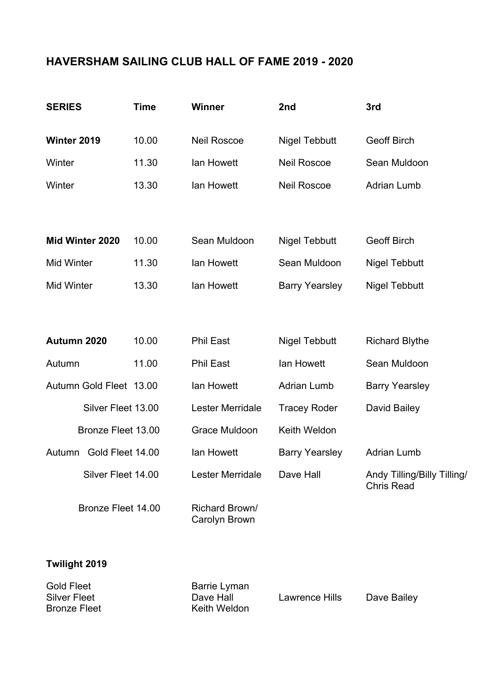## **HAVERSHAM SAILING CLUB HALL OF FAME 2019 - 2020**

| <b>SERIES</b>              | <b>Time</b> | <b>Winner</b>                   | 2nd                   | 3rd                                              |
|----------------------------|-------------|---------------------------------|-----------------------|--------------------------------------------------|
| Winter 2019                | 10.00       | <b>Neil Roscoe</b>              | <b>Nigel Tebbutt</b>  | <b>Geoff Birch</b>                               |
| Winter                     | 11.30       | lan Howett                      | <b>Neil Roscoe</b>    | Sean Muldoon                                     |
| Winter                     | 13.30       | lan Howett                      | <b>Neil Roscoe</b>    | <b>Adrian Lumb</b>                               |
|                            |             |                                 |                       |                                                  |
| Mid Winter 2020            | 10.00       | Sean Muldoon                    | <b>Nigel Tebbutt</b>  | <b>Geoff Birch</b>                               |
| <b>Mid Winter</b>          | 11.30       | lan Howett                      | Sean Muldoon          | <b>Nigel Tebbutt</b>                             |
| <b>Mid Winter</b>          | 13.30       | lan Howett                      | <b>Barry Yearsley</b> | <b>Nigel Tebbutt</b>                             |
|                            |             |                                 |                       |                                                  |
| Autumn 2020                | 10.00       | <b>Phil East</b>                | <b>Nigel Tebbutt</b>  | <b>Richard Blythe</b>                            |
| Autumn                     | 11.00       | <b>Phil East</b>                | lan Howett            | Sean Muldoon                                     |
| Autumn Gold Fleet 13.00    |             | lan Howett                      | <b>Adrian Lumb</b>    | <b>Barry Yearsley</b>                            |
| Silver Fleet 13.00         |             | Lester Merridale                | <b>Tracey Roder</b>   | David Bailey                                     |
| Bronze Fleet 13.00         |             | <b>Grace Muldoon</b>            | Keith Weldon          |                                                  |
| Gold Fleet 14.00<br>Autumn |             | lan Howett                      | <b>Barry Yearsley</b> | <b>Adrian Lumb</b>                               |
| Silver Fleet 14.00         |             | <b>Lester Merridale</b>         | Dave Hall             | Andy Tilling/Billy Tilling/<br><b>Chris Read</b> |
| Bronze Fleet 14.00         |             | Richard Brown/<br>Carolyn Brown |                       |                                                  |

## **Twilight 2019**

| <b>Gold Fleet</b>   | Barrie Lyman |                |             |
|---------------------|--------------|----------------|-------------|
| <b>Silver Fleet</b> | Dave Hall    | Lawrence Hills | Dave Bailey |
| <b>Bronze Fleet</b> | Keith Weldon |                |             |